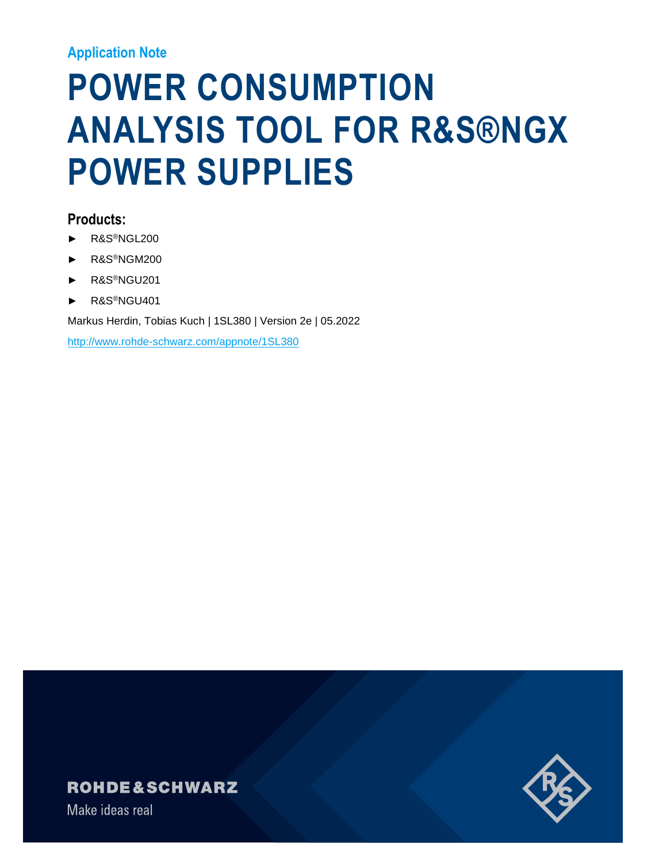### **Application Note**

# **POWER CONSUMPTION ANALYSIS TOOL FOR R&S®NGX POWER SUPPLIES**

### **Products:**

- ► R&S®NGL200
- ► R&S®NGM200
- ► R&S®NGU201
- ► R&S®NGU401

Markus Herdin, Tobias Kuch | 1SL380 | Version 2e | 05.2022

<http://www.rohde-schwarz.com/appnote/1SL380>

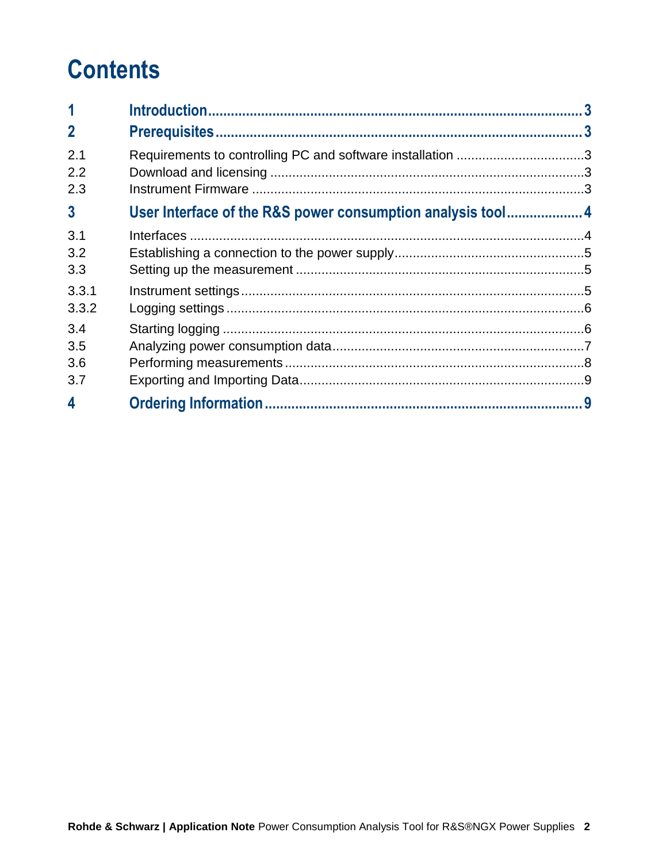## **Contents**

| 1                        |                                                            |  |
|--------------------------|------------------------------------------------------------|--|
| $\overline{2}$           |                                                            |  |
| 2.1<br>2.2<br>2.3        | Requirements to controlling PC and software installation 3 |  |
| $\overline{3}$           | User Interface of the R&S power consumption analysis tool4 |  |
| 3.1<br>3.2<br>3.3        |                                                            |  |
| 3.3.1<br>3.3.2           |                                                            |  |
| 3.4<br>3.5<br>3.6<br>3.7 |                                                            |  |
| 4                        |                                                            |  |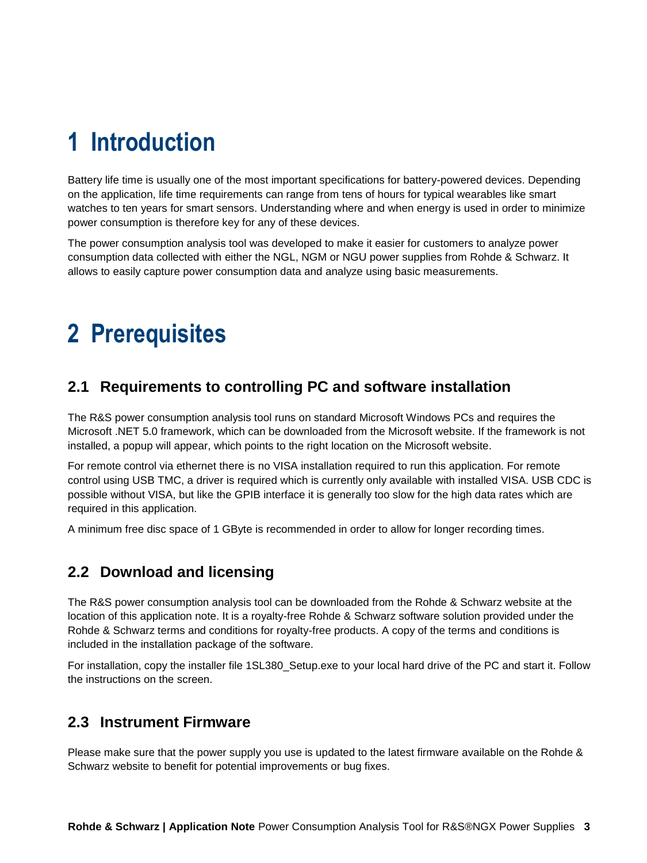## <span id="page-2-0"></span>**1 Introduction**

Battery life time is usually one of the most important specifications for battery-powered devices. Depending on the application, life time requirements can range from tens of hours for typical wearables like smart watches to ten years for smart sensors. Understanding where and when energy is used in order to minimize power consumption is therefore key for any of these devices.

The power consumption analysis tool was developed to make it easier for customers to analyze power consumption data collected with either the NGL, NGM or NGU power supplies from Rohde & Schwarz. It allows to easily capture power consumption data and analyze using basic measurements.

## <span id="page-2-1"></span>**2 Prerequisites**

## <span id="page-2-2"></span>**2.1 Requirements to controlling PC and software installation**

The R&S power consumption analysis tool runs on standard Microsoft Windows PCs and requires the Microsoft .NET 5.0 framework, which can be downloaded from the Microsoft website. If the framework is not installed, a popup will appear, which points to the right location on the Microsoft website.

For remote control via ethernet there is no VISA installation required to run this application. For remote control using USB TMC, a driver is required which is currently only available with installed VISA. USB CDC is possible without VISA, but like the GPIB interface it is generally too slow for the high data rates which are required in this application.

A minimum free disc space of 1 GByte is recommended in order to allow for longer recording times.

## <span id="page-2-3"></span>**2.2 Download and licensing**

The R&S power consumption analysis tool can be downloaded from the Rohde & Schwarz website at the location of this application note. It is a royalty-free Rohde & Schwarz software solution provided under the Rohde & Schwarz terms and conditions for royalty-free products. A copy of the terms and conditions is included in the installation package of the software.

For installation, copy the installer file 1SL380\_Setup.exe to your local hard drive of the PC and start it. Follow the instructions on the screen.

## <span id="page-2-4"></span>**2.3 Instrument Firmware**

Please make sure that the power supply you use is updated to the latest firmware available on the Rohde & Schwarz website to benefit for potential improvements or bug fixes.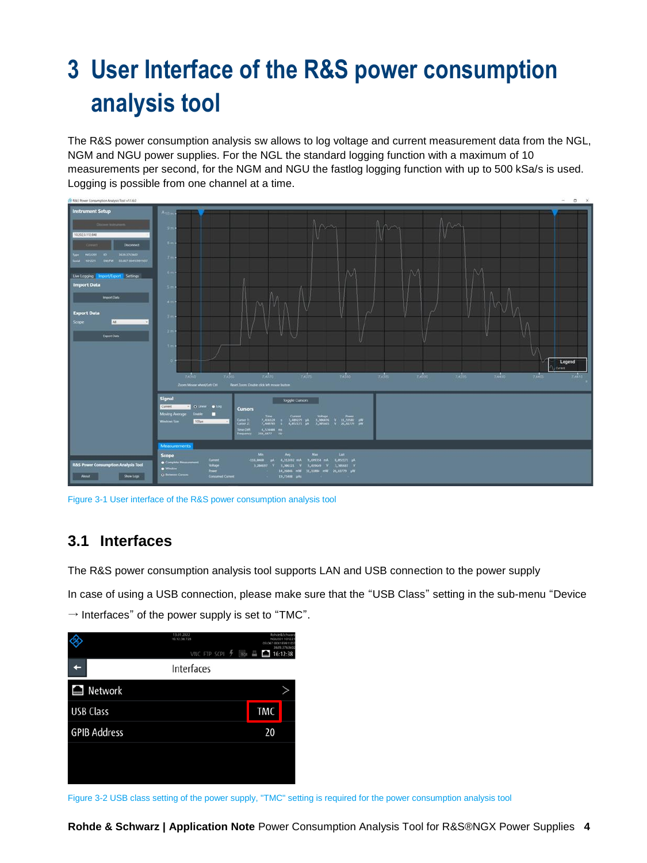## <span id="page-3-0"></span>**3 User Interface of the R&S power consumption analysis tool**

The R&S power consumption analysis sw allows to log voltage and current measurement data from the NGL, NGM and NGU power supplies. For the NGL the standard logging function with a maximum of 10 measurements per second, for the NGM and NGU the fastlog logging function with up to 500 kSa/s is used. Logging is possible from one channel at a time.



<span id="page-3-1"></span>Figure 3-1 User interface of the R&S power consumption analysis tool

### **3.1 Interfaces**

The R&S power consumption analysis tool supports LAN and USB connection to the power supply

In case of using a USB connection, please make sure that the "USB Class" setting in the sub-menu "Device  $\rightarrow$  Interfaces" of the power supply is set to "TMC".



Figure 3-2 USB class setting of the power supply, "TMC" setting is required for the power consumption analysis tool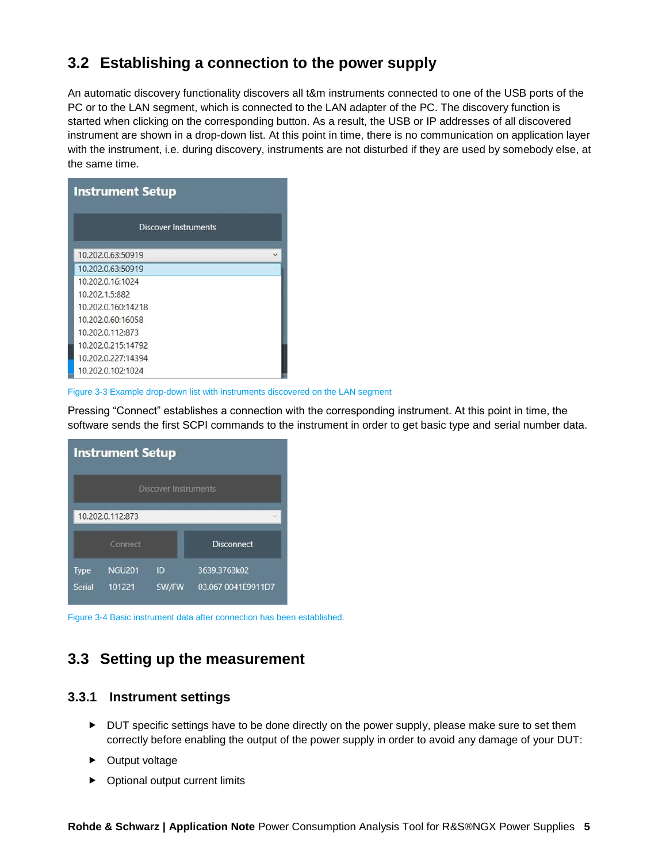## <span id="page-4-0"></span>**3.2 Establishing a connection to the power supply**

An automatic discovery functionality discovers all t&m instruments connected to one of the USB ports of the PC or to the LAN segment, which is connected to the LAN adapter of the PC. The discovery function is started when clicking on the corresponding button. As a result, the USB or IP addresses of all discovered instrument are shown in a drop-down list. At this point in time, there is no communication on application layer with the instrument, i.e. during discovery, instruments are not disturbed if they are used by somebody else, at the same time.

| <b>Instrument Setup</b>     |  |  |  |  |  |
|-----------------------------|--|--|--|--|--|
| <b>Discover Instruments</b> |  |  |  |  |  |
| 10.202.0.63:50919           |  |  |  |  |  |
| 10.202.0.63:50919           |  |  |  |  |  |
| 10.202.0.16:1024            |  |  |  |  |  |
| 10.202.1.5:882              |  |  |  |  |  |
| 10.202.0.160:14218          |  |  |  |  |  |
| 10.202.0.60:16058           |  |  |  |  |  |
| 10.202.0.112:873            |  |  |  |  |  |
| 10.202.0.215:14792          |  |  |  |  |  |
| 10.202.0.227:14394          |  |  |  |  |  |
| 10.202.0.102:1024           |  |  |  |  |  |

Figure 3-3 Example drop-down list with instruments discovered on the LAN segment

Pressing "Connect" establishes a connection with the corresponding instrument. At this point in time, the software sends the first SCPI commands to the instrument in order to get basic type and serial number data.

| <b>Instrument Setup</b> |                             |       |                    |  |  |  |  |
|-------------------------|-----------------------------|-------|--------------------|--|--|--|--|
|                         | <b>Discover Instruments</b> |       |                    |  |  |  |  |
|                         | 10.202.0.112:873            |       |                    |  |  |  |  |
|                         | Connect                     |       | <b>Disconnect</b>  |  |  |  |  |
| <b>Type</b>             | <b>NGU201</b>               | ID    | 3639.3763k02       |  |  |  |  |
| Serial                  | 101221                      | SW/FW | 03.067 0041E9911D7 |  |  |  |  |

<span id="page-4-1"></span>Figure 3-4 Basic instrument data after connection has been established.

## **3.3 Setting up the measurement**

#### <span id="page-4-2"></span>**3.3.1 Instrument settings**

- DUT specific settings have to be done directly on the power supply, please make sure to set them correctly before enabling the output of the power supply in order to avoid any damage of your DUT:
- ▶ Output voltage
- ▶ Optional output current limits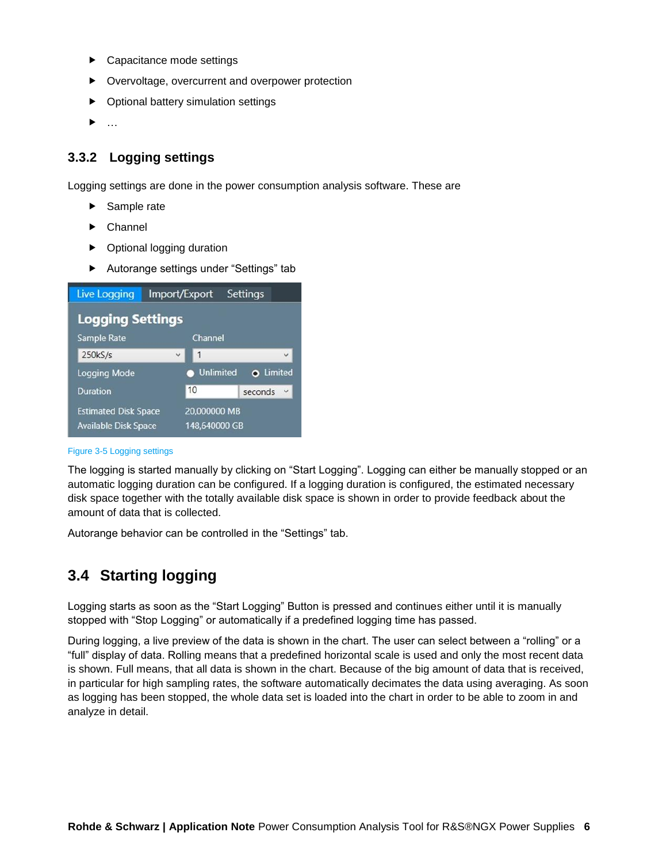- ▶ Capacitance mode settings
- ▶ Overvoltage, overcurrent and overpower protection
- ▶ Optional battery simulation settings
- $\blacktriangleright$  ...

#### <span id="page-5-0"></span>**3.3.2 Logging settings**

Logging settings are done in the power consumption analysis software. These are

- Sample rate
- $\blacktriangleright$  Channel
- ▶ Optional logging duration
- Autorange settings under "Settings" tab

| <b>Live Logging</b>     | Import/Export    | Settings                             |
|-------------------------|------------------|--------------------------------------|
| <b>Logging Settings</b> |                  |                                      |
| Sample Rate             | Channel          |                                      |
| 250kS/s                 | 1<br>$\check{ }$ | $\checkmark$                         |
|                         |                  |                                      |
| Logging Mode            |                  | <b>Unlimited</b><br><b>O</b> Limited |
| <b>Duration</b>         | 10               | U<br>seconds                         |

#### Figure 3-5 Logging settings

The logging is started manually by clicking on "Start Logging". Logging can either be manually stopped or an automatic logging duration can be configured. If a logging duration is configured, the estimated necessary disk space together with the totally available disk space is shown in order to provide feedback about the amount of data that is collected.

<span id="page-5-1"></span>Autorange behavior can be controlled in the "Settings" tab.

## **3.4 Starting logging**

Logging starts as soon as the "Start Logging" Button is pressed and continues either until it is manually stopped with "Stop Logging" or automatically if a predefined logging time has passed.

During logging, a live preview of the data is shown in the chart. The user can select between a "rolling" or a "full" display of data. Rolling means that a predefined horizontal scale is used and only the most recent data is shown. Full means, that all data is shown in the chart. Because of the big amount of data that is received, in particular for high sampling rates, the software automatically decimates the data using averaging. As soon as logging has been stopped, the whole data set is loaded into the chart in order to be able to zoom in and analyze in detail.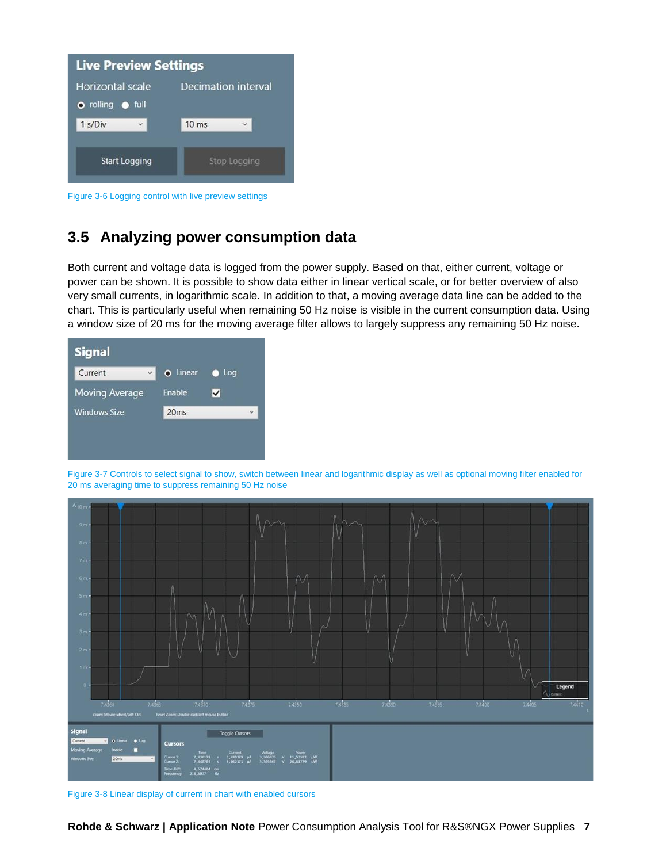| <b>Live Preview Settings</b> |                                 |  |  |  |  |
|------------------------------|---------------------------------|--|--|--|--|
| <b>Horizontal scale</b>      | Decimation interval             |  |  |  |  |
| o rolling o full<br>1 s/Div  | $10$ ms<br>$\ddot{\phantom{1}}$ |  |  |  |  |
| <b>Start Logging</b>         | <b>Stop Logging</b>             |  |  |  |  |

<span id="page-6-0"></span>Figure 3-6 Logging control with live preview settings

## **3.5 Analyzing power consumption data**

Both current and voltage data is logged from the power supply. Based on that, either current, voltage or power can be shown. It is possible to show data either in linear vertical scale, or for better overview of also very small currents, in logarithmic scale. In addition to that, a moving average data line can be added to the chart. This is particularly useful when remaining 50 Hz noise is visible in the current consumption data. Using a window size of 20 ms for the moving average filter allows to largely suppress any remaining 50 Hz noise.

| <b>Signal</b>           |                  |     |   |
|-------------------------|------------------|-----|---|
| $\checkmark$<br>Current | O Linear         | Log |   |
| <b>Moving Average</b>   | <b>Enable</b>    | ✓   |   |
| <b>Windows Size</b>     | 20 <sub>ms</sub> |     | Ü |
|                         |                  |     |   |
|                         |                  |     |   |

Figure 3-7 Controls to select signal to show, switch between linear and logarithmic display as well as optional moving filter enabled for 20 ms averaging time to suppress remaining 50 Hz noise



Figure 3-8 Linear display of current in chart with enabled cursors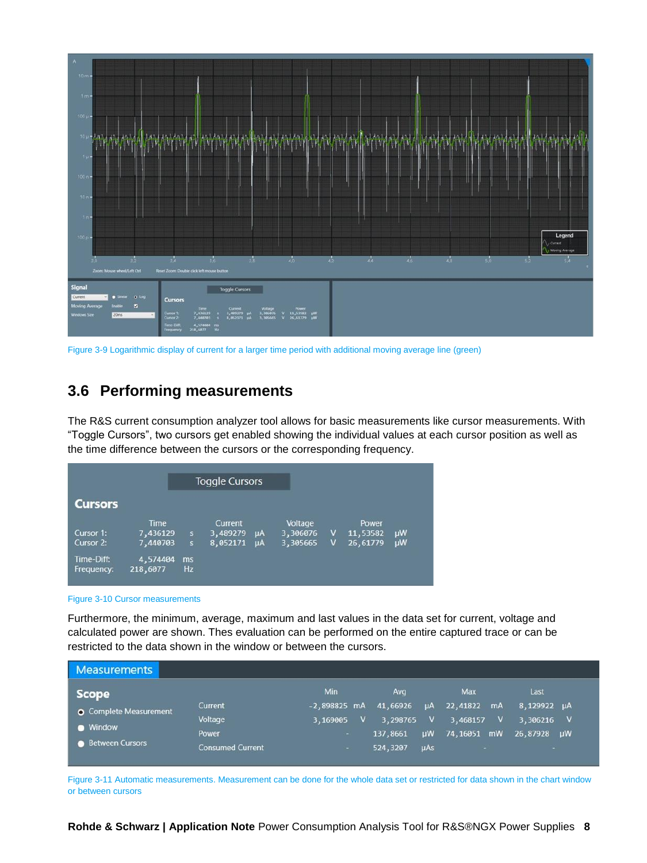

<span id="page-7-0"></span>Figure 3-9 Logarithmic display of current for a larger time period with additional moving average line (green)

## **3.6 Performing measurements**

The R&S current consumption analyzer tool allows for basic measurements like cursor measurements. With "Toggle Cursors", two cursors get enabled showing the individual values at each cursor position as well as the time difference between the cursors or the corresponding frequency.

|            |          |                         | <b>Toggle Cursors</b> |           |          |   |          |           |
|------------|----------|-------------------------|-----------------------|-----------|----------|---|----------|-----------|
| Cursors    |          |                         |                       |           |          |   |          |           |
|            | Time     |                         | Current               |           | Voltage  |   | Power    |           |
| Cursor 1:  | 7,436129 | $\mathbf{s}$            | 3,489279              | $\mu$ A   | 3,306076 | v | 11,53582 | <b>µW</b> |
| Cursor 2:  | 7,440703 | $\overline{\mathbf{s}}$ | 8,052171              | <b>uA</b> | 3,305665 | v | 26,61779 | <b>uW</b> |
| Time-Diff: | 4,574404 | ms                      |                       |           |          |   |          |           |
| Frequency: | 218,6077 | Hz                      |                       |           |          |   |          |           |

#### Figure 3-10 Cursor measurements

Furthermore, the minimum, average, maximum and last values in the data set for current, voltage and calculated power are shown. Thes evaluation can be performed on the entire captured trace or can be restricted to the data shown in the window or between the cursors.

| <b>Measurements</b>           |                         |                          |              |          |              |             |              |             |              |
|-------------------------------|-------------------------|--------------------------|--------------|----------|--------------|-------------|--------------|-------------|--------------|
| <b>Scope</b>                  |                         | Min                      |              | Avg      |              | Max         |              | Last        |              |
| <b>O</b> Complete Measurement | Current                 | $-2,898825$ mA           |              | 41,66926 | μA           | 22,41822    | <b>mA</b>    | 8,129922 µA |              |
|                               | Voltage                 | 3,169005                 | $\mathsf{V}$ | 3,298765 | $\mathbf{v}$ | 3,468157    | $\mathbf{v}$ | 3,306216    | $\mathbf{v}$ |
| <b>Window</b>                 | Power                   | $\overline{\phantom{a}}$ |              | 137,8661 | μW           | 74,16051 mW |              | 26,87928    | <b>uW</b>    |
| <b>Between Cursors</b>        | <b>Consumed Current</b> | ÷.                       |              | 524,3207 | $\mu$ As     | a.          |              | ×.          |              |

Figure 3-11 Automatic measurements. Measurement can be done for the whole data set or restricted for data shown in the chart window or between cursors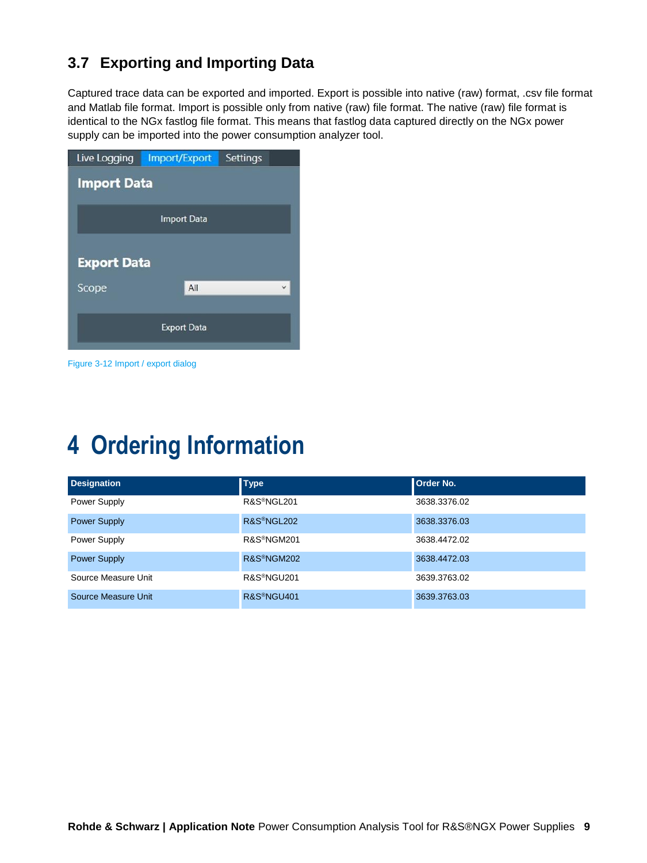## <span id="page-8-0"></span>**3.7 Exporting and Importing Data**

Captured trace data can be exported and imported. Export is possible into native (raw) format, .csv file format and Matlab file format. Import is possible only from native (raw) file format. The native (raw) file format is identical to the NGx fastlog file format. This means that fastlog data captured directly on the NGx power supply can be imported into the power consumption analyzer tool.

|                    | Live Logging Import/Export | Settings |  |  |  |  |  |
|--------------------|----------------------------|----------|--|--|--|--|--|
| <b>Import Data</b> |                            |          |  |  |  |  |  |
|                    | <b>Import Data</b>         |          |  |  |  |  |  |
|                    | <b>Export Data</b>         |          |  |  |  |  |  |
| Scope              | All                        |          |  |  |  |  |  |
|                    | <b>Export Data</b>         |          |  |  |  |  |  |

Figure 3-12 Import / export dialog

## <span id="page-8-1"></span>**4 Ordering Information**

| <b>Designation</b>  | <b>Type</b>             | <b>Order No.</b> |
|---------------------|-------------------------|------------------|
| Power Supply        | R&S <sup>®</sup> NGL201 | 3638.3376.02     |
| <b>Power Supply</b> | R&S <sup>®</sup> NGL202 | 3638.3376.03     |
| Power Supply        | R&S <sup>®</sup> NGM201 | 3638.4472.02     |
| <b>Power Supply</b> | R&S <sup>®</sup> NGM202 | 3638.4472.03     |
| Source Measure Unit | R&S <sup>®</sup> NGU201 | 3639.3763.02     |
| Source Measure Unit | R&S <sup>®</sup> NGU401 | 3639.3763.03     |